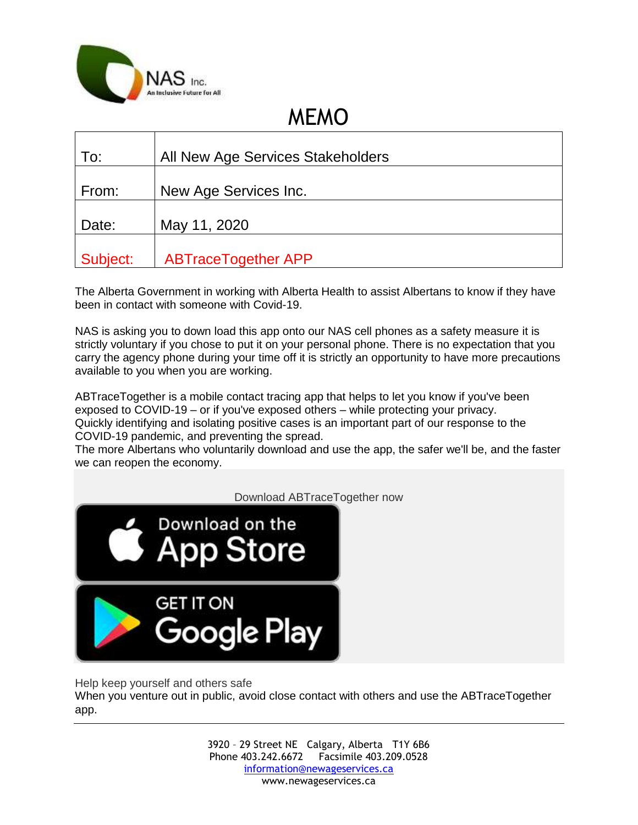

## MEMO

| To:      | All New Age Services Stakeholders |
|----------|-----------------------------------|
| From:    | New Age Services Inc.             |
| Date:    | May 11, 2020                      |
| Subject: | <b>ABTraceTogether APP</b>        |

The Alberta Government in working with Alberta Health to assist Albertans to know if they have been in contact with someone with Covid-19.

NAS is asking you to down load this app onto our NAS cell phones as a safety measure it is strictly voluntary if you chose to put it on your personal phone. There is no expectation that you carry the agency phone during your time off it is strictly an opportunity to have more precautions available to you when you are working.

ABTraceTogether is a mobile contact tracing app that helps to let you know if you've been exposed to COVID-19 – or if you've exposed others – while protecting your privacy. Quickly identifying and isolating positive cases is an important part of our response to the COVID-19 pandemic, and preventing the spread.

The more Albertans who voluntarily download and use the app, the safer we'll be, and the faster we can reopen the economy.



Help keep yourself and others safe

When you venture out in public, avoid close contact with others and use the ABTraceTogether app.

> 3920 – 29 Street NE Calgary, Alberta T1Y 6B6 Phone 403.242.6672 Facsimile 403.209.0528 [information@newageservices.ca](mailto:information@newageservices.ca) www.newageservices.ca